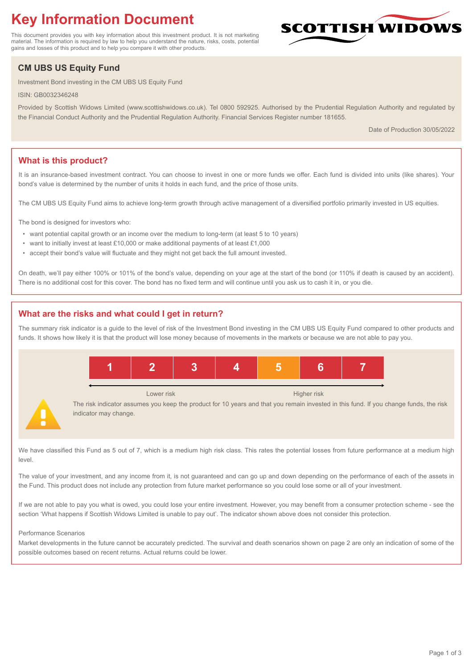# **Key Information Document**

This document provides you with key information about this investment product. It is not marketing material. The information is required by law to help you understand the nature, risks, costs, potential gains and losses of this product and to help you compare it with other products.

# **CM UBS US Equity Fund**

Investment Bond investing in the CM UBS US Equity Fund

ISIN: GB0032346248

Provided by Scottish Widows Limited (www.scottishwidows.co.uk). Tel 0800 592925. Authorised by the Prudential Regulation Authority and regulated by the Financial Conduct Authority and the Prudential Regulation Authority. Financial Services Register number 181655.

Date of Production 30/05/2022

**SCOTTISH WIDOW** 

# **What is this product?**

It is an insurance-based investment contract. You can choose to invest in one or more funds we offer. Each fund is divided into units (like shares). Your bond's value is determined by the number of units it holds in each fund, and the price of those units.

The CM UBS US Equity Fund aims to achieve long-term growth through active management of a diversified portfolio primarily invested in US equities.

The bond is designed for investors who:

- want potential capital growth or an income over the medium to long-term (at least 5 to 10 years)
- want to initially invest at least £10,000 or make additional payments of at least £1,000
- accept their bond's value will fluctuate and they might not get back the full amount invested.

On death, we'll pay either 100% or 101% of the bond's value, depending on your age at the start of the bond (or 110% if death is caused by an accident). There is no additional cost for this cover. The bond has no fixed term and will continue until you ask us to cash it in, or you die.

# **What are the risks and what could I get in return?**

The summary risk indicator is a guide to the level of risk of the Investment Bond investing in the CM UBS US Equity Fund compared to other products and funds. It shows how likely it is that the product will lose money because of movements in the markets or because we are not able to pay you.



We have classified this Fund as 5 out of 7, which is a medium high risk class. This rates the potential losses from future performance at a medium high level.

The value of your investment, and any income from it, is not guaranteed and can go up and down depending on the performance of each of the assets in the Fund. This product does not include any protection from future market performance so you could lose some or all of your investment.

If we are not able to pay you what is owed, you could lose your entire investment. However, you may benefit from a consumer protection scheme - see the section 'What happens if Scottish Widows Limited is unable to pay out'. The indicator shown above does not consider this protection.

#### Performance Scenarios

Market developments in the future cannot be accurately predicted. The survival and death scenarios shown on page 2 are only an indication of some of the possible outcomes based on recent returns. Actual returns could be lower.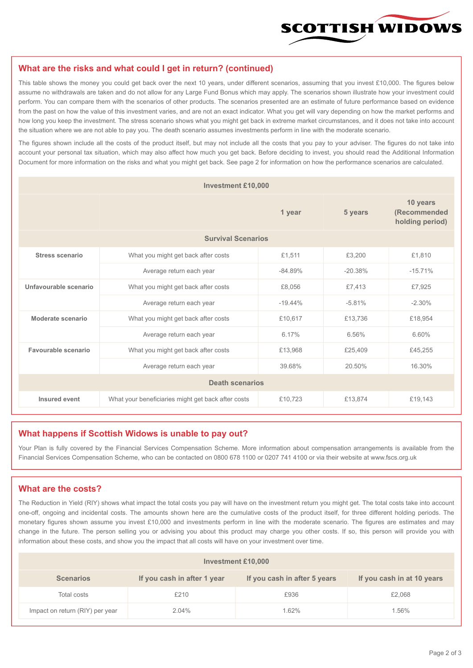

### **What are the risks and what could I get in return? (continued)**

This table shows the money you could get back over the next 10 years, under different scenarios, assuming that you invest £10,000. The figures below assume no withdrawals are taken and do not allow for any Large Fund Bonus which may apply. The scenarios shown illustrate how your investment could perform. You can compare them with the scenarios of other products. The scenarios presented are an estimate of future performance based on evidence from the past on how the value of this investment varies, and are not an exact indicator. What you get will vary depending on how the market performs and how long you keep the investment. The stress scenario shows what you might get back in extreme market circumstances, and it does not take into account the situation where we are not able to pay you. The death scenario assumes investments perform in line with the moderate scenario.

The figures shown include all the costs of the product itself, but may not include all the costs that you pay to your adviser. The figures do not take into account your personal tax situation, which may also affect how much you get back. Before deciding to invest, you should read the Additional Information Document for more information on the risks and what you might get back. See page 2 for information on how the performance scenarios are calculated.

| <b>Investment £10,000</b> |                                                    |            |           |                                             |  |  |
|---------------------------|----------------------------------------------------|------------|-----------|---------------------------------------------|--|--|
|                           | 1 year                                             |            | 5 years   | 10 years<br>(Recommended<br>holding period) |  |  |
| <b>Survival Scenarios</b> |                                                    |            |           |                                             |  |  |
| <b>Stress scenario</b>    | £1,511<br>What you might get back after costs      |            | £3,200    | £1,810                                      |  |  |
|                           | $-84.89%$<br>Average return each year              |            | $-20.38%$ | $-15.71%$                                   |  |  |
| Unfavourable scenario     | What you might get back after costs<br>£8,056      |            | £7,413    | £7,925                                      |  |  |
|                           | Average return each year                           | $-19.44\%$ | $-5.81%$  | $-2.30%$                                    |  |  |
| Moderate scenario         | What you might get back after costs                | £10,617    | £13,736   | £18,954                                     |  |  |
|                           | Average return each year                           | 6.17%      | 6.56%     | 6.60%                                       |  |  |
| Favourable scenario       | What you might get back after costs                | £13,968    | £25,409   | £45,255                                     |  |  |
|                           | Average return each year                           | 39.68%     | 20.50%    | 16.30%                                      |  |  |
| <b>Death scenarios</b>    |                                                    |            |           |                                             |  |  |
| Insured event             | What your beneficiaries might get back after costs | £10,723    | £13,874   | £19,143                                     |  |  |

#### **What happens if Scottish Widows is unable to pay out?**

Your Plan is fully covered by the Financial Services Compensation Scheme. More information about compensation arrangements is available from the Financial Services Compensation Scheme, who can be contacted on 0800 678 1100 or 0207 741 4100 or via their website at www.fscs.org.uk

## **What are the costs?**

The Reduction in Yield (RIY) shows what impact the total costs you pay will have on the investment return you might get. The total costs take into account one-off, ongoing and incidental costs. The amounts shown here are the cumulative costs of the product itself, for three different holding periods. The monetary figures shown assume you invest £10,000 and investments perform in line with the moderate scenario. The figures are estimates and may change in the future. The person selling you or advising you about this product may charge you other costs. If so, this person will provide you with information about these costs, and show you the impact that all costs will have on your investment over time.

| Investment £10,000              |                             |                              |                            |  |  |  |
|---------------------------------|-----------------------------|------------------------------|----------------------------|--|--|--|
| <b>Scenarios</b>                | If you cash in after 1 year | If you cash in after 5 years | If you cash in at 10 years |  |  |  |
| Total costs                     | £210                        | £936                         | £2,068                     |  |  |  |
| Impact on return (RIY) per year | 2.04%                       | 1.62%                        | 1.56%                      |  |  |  |